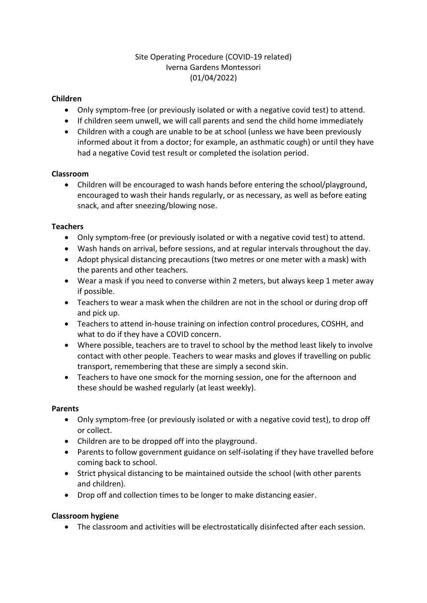# Site Operating Procedure (COVID-19 related) Iverna Gardens Montessori (01/04/2022)

## **Children**

- Only symptom-free (or previously isolated or with a negative covid test) to attend.
- If children seem unwell, we will call parents and send the child home immediately
- Children with a cough are unable to be at school (unless we have been previously informed about it from a doctor; for example, an asthmatic cough) or until they have had a negative Covid test result or completed the isolation period.

#### **Classroom**

• Children will be encouraged to wash hands before entering the school/playground, encouraged to wash their hands regularly, or as necessary, as well as before eating snack, and after sneezing/blowing nose.

#### **Teachers**

- Only symptom-free (or previously isolated or with a negative covid test) to attend.
- Wash hands on arrival, before sessions, and at regular intervals throughout the day.
- Adopt physical distancing precautions (two metres or one meter with a mask) with the parents and other teachers.
- Wear a mask if you need to converse within 2 meters, but always keep 1 meter away if possible.
- Teachers to wear a mask when the children are not in the school or during drop off and pick up.
- Teachers to attend in-house training on infection control procedures, COSHH, and what to do if they have a COVID concern.
- Where possible, teachers are to travel to school by the method least likely to involve contact with other people. Teachers to wear masks and gloves if travelling on public transport, remembering that these are simply a second skin.
- Teachers to have one smock for the morning session, one for the afternoon and these should be washed regularly (at least weekly).

## **Parents**

- Only symptom-free (or previously isolated or with a negative covid test), to drop off or collect.
- Children are to be dropped off into the playground.
- Parents to follow government guidance on self-isolating if they have travelled before coming back to school.
- Strict physical distancing to be maintained outside the school (with other parents and children).
- Drop off and collection times to be longer to make distancing easier.

## **Classroom hygiene**

• The classroom and activities will be electrostatically disinfected after each session.